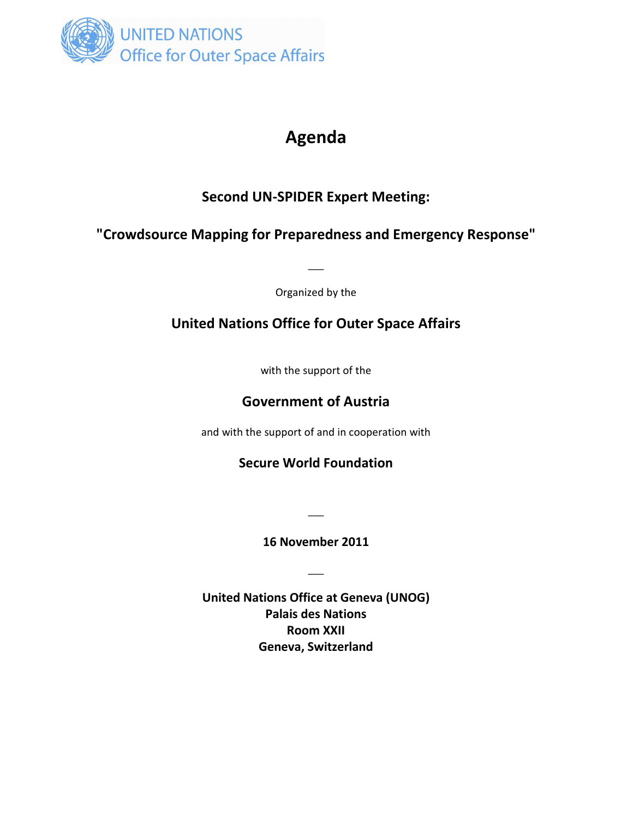

# **Agenda**

## **Second UN-SPIDER Expert Meeting:**

### **"Crowdsource Mapping for Preparedness and Emergency Response"**

Organized by the

 $\overline{\phantom{a}}$ 

## **United Nations Office for Outer Space Affairs**

with the support of the

#### **Government of Austria**

and with the support of and in cooperation with

#### **Secure World Foundation**

**16 November 2011** 

 $\overline{\phantom{a}}$ 

 $\overline{\phantom{a}}$ 

**United Nations Office at Geneva (UNOG) Palais des Nations Room XXII Geneva, Switzerland**